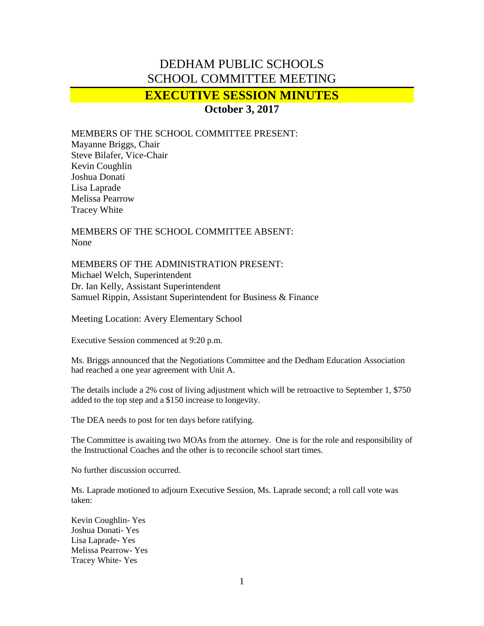## DEDHAM PUBLIC SCHOOLS SCHOOL COMMITTEE MEETING

## **EXECUTIVE SESSION MINUTES**

**October 3, 2017**

MEMBERS OF THE SCHOOL COMMITTEE PRESENT:

Mayanne Briggs, Chair Steve Bilafer, Vice-Chair Kevin Coughlin Joshua Donati Lisa Laprade Melissa Pearrow Tracey White

MEMBERS OF THE SCHOOL COMMITTEE ABSENT: None

MEMBERS OF THE ADMINISTRATION PRESENT: Michael Welch, Superintendent Dr. Ian Kelly, Assistant Superintendent Samuel Rippin, Assistant Superintendent for Business & Finance

Meeting Location: Avery Elementary School

Executive Session commenced at 9:20 p.m.

Ms. Briggs announced that the Negotiations Committee and the Dedham Education Association had reached a one year agreement with Unit A.

The details include a 2% cost of living adjustment which will be retroactive to September 1, \$750 added to the top step and a \$150 increase to longevity.

The DEA needs to post for ten days before ratifying.

The Committee is awaiting two MOAs from the attorney. One is for the role and responsibility of the Instructional Coaches and the other is to reconcile school start times.

No further discussion occurred.

Ms. Laprade motioned to adjourn Executive Session, Ms. Laprade second; a roll call vote was taken:

Kevin Coughlin- Yes Joshua Donati- Yes Lisa Laprade- Yes Melissa Pearrow- Yes Tracey White- Yes